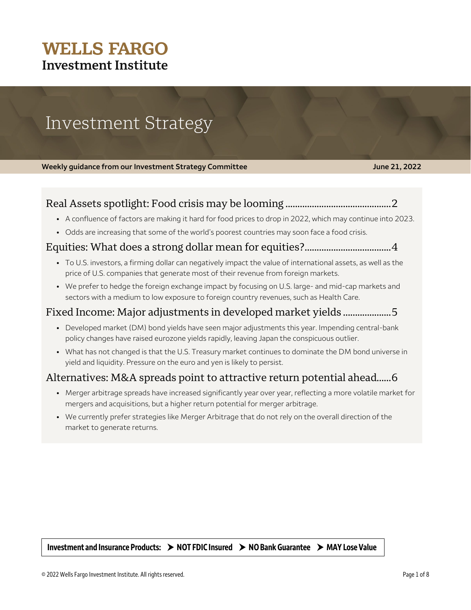## **WELLS FARGO Investment Institute**

# Investment Strategy

**Weekly guidance from our Investment Strategy Committee <b>June 21, 2022** June 21, 2022

## Real Assets spotlight: Food crisis may be looming ............................................ 2

- A confluence of factors are making it hard for food prices to drop in 2022, which may continue into 2023.
- Odds are increasing that some of the world's poorest countries may soon face a food crisis.

### Equities: What does a strong dollar mean for equities?.................................... 4

- To U.S. investors, a firming dollar can negatively impact the value of international assets, as well as the price of U.S. companies that generate most of their revenue from foreign markets.
- We prefer to hedge the foreign exchange impact by focusing on U.S. large- and mid-cap markets and sectors with a medium to low exposure to foreign country revenues, such as Health Care.

## Fixed Income: Major adjustments in developed market yields .................... 5

- Developed market (DM) bond yields have seen major adjustments this year. Impending central-bank policy changes have raised eurozone yields rapidly, leaving Japan the conspicuous outlier.
- What has not changed is that the U.S. Treasury market continues to dominate the DM bond universe in yield and liquidity. Pressure on the euro and yen is likely to persist.

## Alternatives: M&A spreads point to attractive return potential ahead...... 6

- Merger arbitrage spreads have increased significantly year over year, reflecting a more volatile market for mergers and acquisitions, but a higher return potential for merger arbitrage.
- We currently prefer strategies like Merger Arbitrage that do not rely on the overall direction of the market to generate returns.

Investment and Insurance Products:  $\rightarrow$  NOT FDIC Insured  $\rightarrow$  NO Bank Guarantee  $\rightarrow$  MAY Lose Value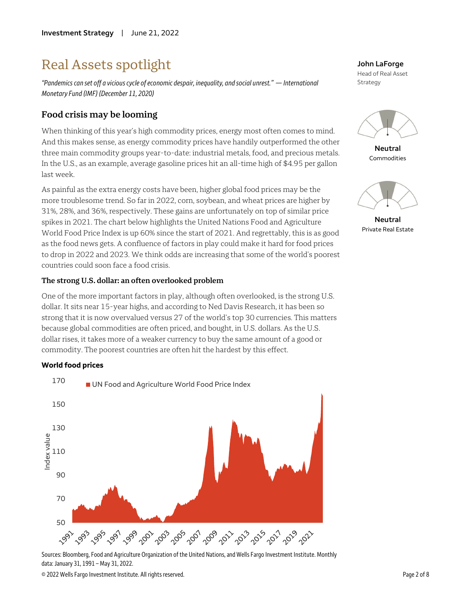## Real Assets spotlight

*"Pandemics can set off a vicious cycle of economic despair, inequality, and social unrest." — International Monetary Fund (IMF) (December 11, 2020)*

## **Food crisis may be looming**

When thinking of this year's high commodity prices, energy most often comes to mind. And this makes sense, as energy commodity prices have handily outperformed the other three main commodity groups year-to-date: industrial metals, food, and precious metals. In the U.S., as an example, average gasoline prices hit an all-time high of \$4.95 per gallon last week.

As painful as the extra energy costs have been, higher global food prices may be the more troublesome trend. So far in 2022, corn, soybean, and wheat prices are higher by 31%, 28%, and 36%, respectively. These gains are unfortunately on top of similar price spikes in 2021. The chart below highlights the United Nations Food and Agriculture World Food Price Index is up 60% since the start of 2021. And regrettably, this is as good as the food news gets. A confluence of factors in play could make it hard for food prices to drop in 2022 and 2023. We think odds are increasing that some of the world's poorest countries could soon face a food crisis.

#### **The strong U.S. dollar: an often overlooked problem**

One of the more important factors in play, although often overlooked, is the strong U.S. dollar. It sits near 15-year highs, and according to Ned Davis Research, it has been so strong that it is now overvalued versus 27 of the world's top 30 currencies. This matters because global commodities are often priced, and bought, in U.S. dollars. As the U.S. dollar rises, it takes more of a weaker currency to buy the same amount of a good or commodity. The poorest countries are often hit the hardest by this effect.

#### **World food prices**



Sources: Bloomberg, Food and Agriculture Organization of the United Nations, and Wells Fargo Investment Institute. Monthly data: January 31, 1991 – May 31, 2022.

**John LaForge** Head of Real Asset Strategy



**Neutral** Commodities



**Neutral** Private Real Estate

© 2022 Wells Fargo Investment Institute. All rights reserved. Page 2 of 8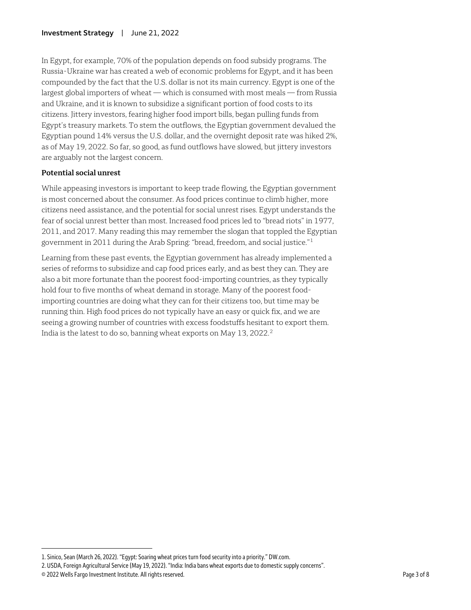In Egypt, for example, 70% of the population depends on food subsidy programs. The Russia-Ukraine war has created a web of economic problems for Egypt, and it has been compounded by the fact that the U.S. dollar is not its main currency. Egypt is one of the largest global importers of wheat — which is consumed with most meals — from Russia and Ukraine, and it is known to subsidize a significant portion of food costs to its citizens. Jittery investors, fearing higher food import bills, began pulling funds from Egypt's treasury markets. To stem the outflows, the Egyptian government devalued the Egyptian pound 14% versus the U.S. dollar, and the overnight deposit rate was hiked 2%, as of May 19, 2022. So far, so good, as fund outflows have slowed, but jittery investors are arguably not the largest concern.

#### **Potential social unrest**

While appeasing investors is important to keep trade flowing, the Egyptian government is most concerned about the consumer. As food prices continue to climb higher, more citizens need assistance, and the potential for social unrest rises. Egypt understands the fear of social unrest better than most. Increased food prices led to "bread riots" in 1977, 2011, and 2017. Many reading this may remember the slogan that toppled the Egyptian government in 2011 during the Arab Spring: "bread, freedom, and social justice."[1](#page-2-0)

Learning from these past events, the Egyptian government has already implemented a series of reforms to subsidize and cap food prices early, and as best they can. They are also a bit more fortunate than the poorest food-importing countries, as they typically hold four to five months of wheat demand in storage. Many of the poorest foodimporting countries are doing what they can for their citizens too, but time may be running thin. High food prices do not typically have an easy or quick fix, and we are seeing a growing number of countries with excess foodstuffs hesitant to export them. India is the latest to do so, banning wheat exports on May 13, 2022.<sup>2</sup>

 $\overline{a}$ 

<span id="page-2-0"></span><sup>1.</sup> Sinico, Sean (March 26, 2022). "Egypt: Soaring wheat prices turn food security into a priority." DW.com.

<span id="page-2-1"></span><sup>2.</sup> USDA, Foreign Agricultural Service (May 19, 2022). "India: India bans wheat exports due to domestic supply concerns".

<sup>© 2022</sup> Wells Fargo Investment Institute. All rights reserved. Page 3 of 8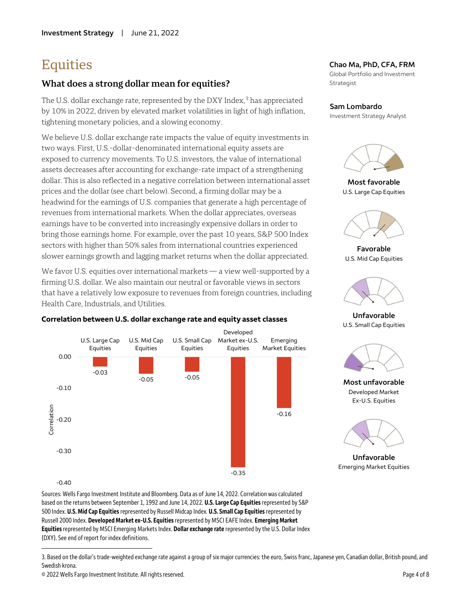## **Equities**

## **What does a strong dollar mean for equities?**

The U.S. dollar exchange rate, represented by the DXY Index,<sup>[3](#page-3-0)</sup> has appreciated by 10% in 2022, driven by elevated market volatilities in light of high inflation, tightening monetary policies, and a slowing economy.

We believe U.S. dollar exchange rate impacts the value of equity investments in two ways. First, U.S.-dollar-denominated international equity assets are exposed to currency movements. To U.S. investors, the value of international assets decreases after accounting for exchange-rate impact of a strengthening dollar. This is also reflected in a negative correlation between international asset prices and the dollar (see chart below). Second, a firming dollar may be a headwind for the earnings of U.S. companies that generate a high percentage of revenues from international markets. When the dollar appreciates, overseas earnings have to be converted into increasingly expensive dollars in order to bring those earnings home. For example, over the past 10 years, S&P 500 Index sectors with higher than 50% sales from international countries experienced slower earnings growth and lagging market returns when the dollar appreciated.

We favor U.S. equities over international markets — a view well-supported by a firming U.S. dollar. We also maintain our neutral or favorable views in sectors that have a relatively low exposure to revenues from foreign countries, including Health Care, Industrials, and Utilities.



#### **Correlation between U.S. dollar exchange rate and equity asset classes**

#### **Chao Ma, PhD, CFA, FRM**

Global Portfolio and Investment Strategist

#### **Sam Lombardo**

Investment Strategy Analyst



**Most favorable** U.S. Large Cap Equities



**Favorable** U.S. Mid Cap Equities



**Unfavorable** U.S. Small Cap Equities



**Most unfavorable** Developed Market Ex-U.S. Equities



**Unfavorable** Emerging Market Equities

 $-0.40$ 

 $\overline{a}$ 

Sources: Wells Fargo Investment Institute and Bloomberg. Data as of June 14, 2022. Correlation was calculated based on the returns between September 1, 1992 and June 14, 2022. **U.S. Large Cap Equities**represented by S&P 500 Index. **U.S. Mid Cap Equities**represented by Russell Midcap Index. **U.S. Small Cap Equities** represented by Russell 2000 Index. **Developed Market ex-U.S. Equities**represented by MSCI EAFE Index. **Emerging Market Equities**represented by MSCI Emerging Markets Index. **Dollar exchange rate** represented by the U.S. Dollar Index (DXY). See end of report for index definitions.

<span id="page-3-0"></span><sup>3.</sup> Based on the dollar's trade-weighted exchange rate against a group of six major currencies: the euro, Swiss franc, Japanese yen, Canadian dollar, British pound, and Swedish krona.

<sup>© 2022</sup> Wells Fargo Investment Institute. All rights reserved. Page 4 of 8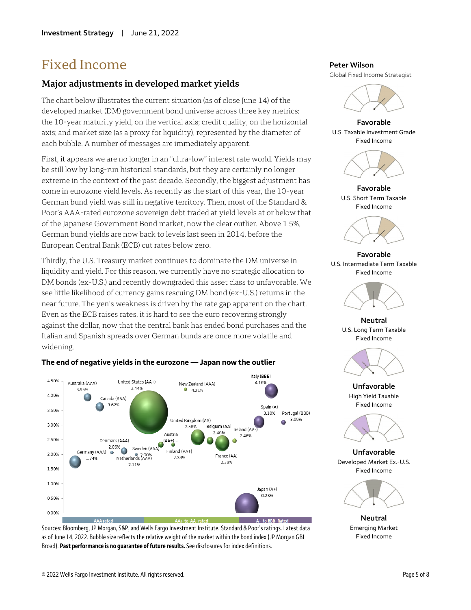## Fixed Income

### **Major adjustments in developed market yields**

The chart below illustrates the current situation (as of close June 14) of the developed market (DM) government bond universe across three key metrics: the 10-year maturity yield, on the vertical axis; credit quality, on the horizontal axis; and market size (as a proxy for liquidity), represented by the diameter of each bubble. A number of messages are immediately apparent.

First, it appears we are no longer in an "ultra-low" interest rate world. Yields may be still low by long-run historical standards, but they are certainly no longer extreme in the context of the past decade. Secondly, the biggest adjustment has come in eurozone yield levels. As recently as the start of this year, the 10-year German bund yield was still in negative territory. Then, most of the Standard & Poor's AAA-rated eurozone sovereign debt traded at yield levels at or below that of the Japanese Government Bond market, now the clear outlier. Above 1.5%, German bund yields are now back to levels last seen in 2014, before the European Central Bank (ECB) cut rates below zero.

Thirdly, the U.S. Treasury market continues to dominate the DM universe in liquidity and yield. For this reason, we currently have no strategic allocation to DM bonds (ex-U.S.) and recently downgraded this asset class to unfavorable. We see little likelihood of currency gains rescuing DM bond (ex-U.S.) returns in the near future. The yen's weakness is driven by the rate gap apparent on the chart. Even as the ECB raises rates, it is hard to see the euro recovering strongly against the dollar, now that the central bank has ended bond purchases and the Italian and Spanish spreads over German bunds are once more volatile and widening.



### **The end of negative yields in the eurozone — Japan now the outlier**

Sources: Bloomberg, JP Morgan, S&P, and Wells Fargo Investment Institute. Standard & Poor's ratings. Latest data as of June 14, 2022. Bubble size reflects the relative weight of the market within the bond index (JP Morgan GBI Broad). **Past performance is no guarantee of future results.** See disclosures for index definitions.

#### **Peter Wilson**

Global Fixed Income Strategist



**Favorable** U.S. Taxable Investment Grade Fixed Income



**Favorable** U.S. Short Term Taxable Fixed Income



**Favorable** U.S. Intermediate Term Taxable Fixed Income



**Neutral** U.S. Long Term Taxable Fixed Income



**Unfavorable** High Yield Taxable Fixed Income



**Unfavorable** Developed Market Ex.-U.S. Fixed Income



**Neutral** Emerging Market Fixed Income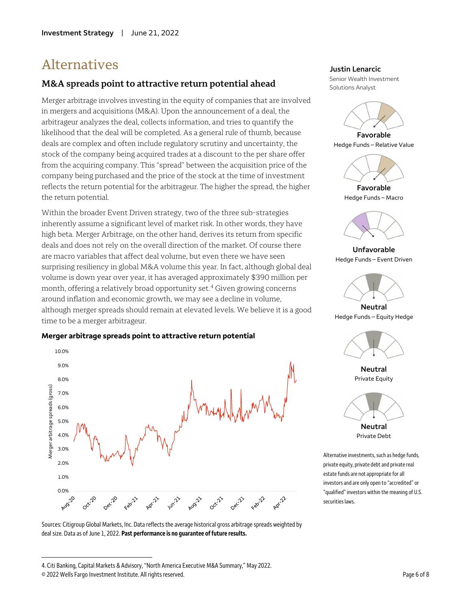## Alternatives

### **M&A spreads point to attractive return potential ahead**

Merger arbitrage involves investing in the equity of companies that are involved in mergers and acquisitions (M&A). Upon the announcement of a deal, the arbitrageur analyzes the deal, collects information, and tries to quantify the likelihood that the deal will be completed. As a general rule of thumb, because deals are complex and often include regulatory scrutiny and uncertainty, the stock of the company being acquired trades at a discount to the per share offer from the acquiring company. This "spread" between the acquisition price of the company being purchased and the price of the stock at the time of investment reflects the return potential for the arbitrageur. The higher the spread, the higher the return potential.

Within the broader Event Driven strategy, two of the three sub-strategies inherently assume a significant level of market risk. In other words, they have high beta. Merger Arbitrage, on the other hand, derives its return from specific deals and does not rely on the overall direction of the market. Of course there are macro variables that affect deal volume, but even there we have seen surprising resiliency in global M&A volume this year. In fact, although global deal volume is down year over year, it has averaged approximately \$390 million per month, offering a relatively broad opportunity set.<sup>[4](#page-5-0)</sup> Given growing concerns around inflation and economic growth, we may see a decline in volume, although merger spreads should remain at elevated levels. We believe it is a good time to be a merger arbitrageur.





Sources: Citigroup Global Markets, Inc. Data reflects the average historical gross arbitrage spreads weighted by deal size. Data as of June 1, 2022. **Past performance is no guarantee of future results.**

 $\overline{a}$ 

#### **Justin Lenarcic**

Senior Wealth Investment Solutions Analyst



**Favorable** Hedge Funds – Relative Value



**Favorable** Hedge Funds – Macro



**Unfavorable** Hedge Funds – Event Driven



**Neutral** Hedge Funds – Equity Hedge



**Neutral** Private Equity



Private Debt

Alternative investments, such as hedge funds, private equity, private debt and private real estate funds are not appropriate for all investors and are only open to "accredited" or "qualified" investors within the meaning of U.S. securities laws.

<span id="page-5-0"></span><sup>4.</sup> Citi Banking, Capital Markets & Advisory, "North America Executive M&A Summary," May 2022.

<sup>© 2022</sup> Wells Fargo Investment Institute. All rights reserved. Page 6 of 8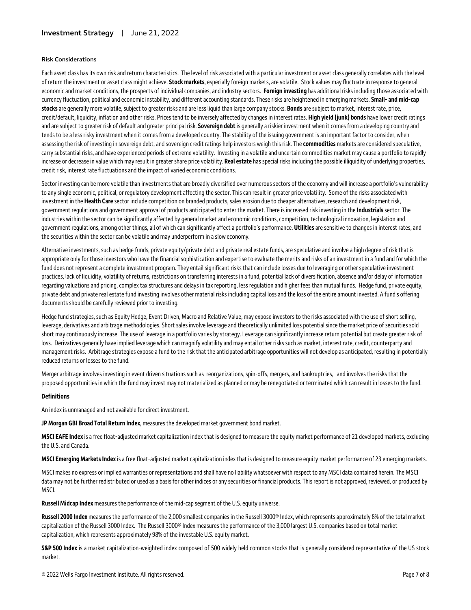#### **Risk Considerations**

Each asset class has its own risk and return characteristics. The level of risk associated with a particular investment or asset class generally correlates with the level of return the investment or asset class might achieve. **Stock markets**, especially foreign markets, are volatile. Stock values may fluctuate in response to general economic and market conditions, the prospects of individual companies, and industry sectors. **Foreign investing** has additional risks including those associated with currency fluctuation, political and economic instability, and different accounting standards. These risks are heightened in emerging markets. **Small- and mid-cap stocks**are generally more volatile, subject to greater risks and are less liquid than large company stocks. **Bonds**are subject to market, interest rate, price, credit/default, liquidity, inflation and other risks. Prices tend to be inversely affected by changes in interest rates. **High yield (junk) bonds** have lower credit ratings and are subject to greater risk of default and greater principal risk. **Sovereign debt** is generally a riskier investment when it comes from a developing country and tends to be a less risky investment when it comes from a developed country. The stability of the issuing government is an important factor to consider, when assessing the risk of investing in sovereign debt, and sovereign credit ratings help investors weigh this risk. The **commodities** markets are considered speculative, carry substantial risks, and have experienced periods of extreme volatility. Investing in a volatile and uncertain commodities market may cause a portfolio to rapidly increase or decrease in value which may result in greater share price volatility. **Real estate** has special risks including the possible illiquidity of underlying properties, credit risk, interest rate fluctuations and the impact of varied economic conditions.

Sector investing can be more volatile than investments that are broadly diversified over numerous sectors of the economy and will increase a portfolio's vulnerability to any single economic, political, or regulatory development affecting the sector. This can result in greater price volatility. Some of the risks associated with investment in the **Health Care** sector include competition on branded products, sales erosion due to cheaper alternatives, research and development risk, government regulations and government approval of products anticipated to enter the market. There is increased risk investing in the **Industrials**sector. The industries within the sector can be significantly affected by general market and economic conditions, competition, technological innovation, legislation and government regulations, among other things, all of which can significantly affect a portfolio's performance. **Utilities**are sensitive to changes in interest rates, and the securities within the sector can be volatile and may underperform in a slow economy.

Alternative investments, such as hedge funds, private equity/private debt and private real estate funds, are speculative and involve a high degree of risk that is appropriate only for those investors who have the financial sophistication and expertise to evaluate the merits and risks of an investment in a fund and for which the fund does not represent a complete investment program. They entail significant risks that can include losses due to leveraging or other speculative investment practices, lack of liquidity, volatility of returns, restrictions on transferring interests in a fund, potential lack of diversification, absence and/or delay of information regarding valuations and pricing, complex tax structures and delays in tax reporting, less regulation and higher fees than mutual funds. Hedge fund, private equity, private debt and private real estate fund investing involves other material risks including capital loss and the loss of the entire amount invested. A fund's offering documents should be carefully reviewed prior to investing.

Hedge fund strategies, such as Equity Hedge, Event Driven, Macro and Relative Value, may expose investors to the risks associated with the use of short selling, leverage, derivatives and arbitrage methodologies. Short sales involve leverage and theoretically unlimited loss potential since the market price of securities sold short may continuously increase. The use of leverage in a portfolio varies by strategy. Leverage can significantly increase return potential but create greater risk of loss. Derivatives generally have implied leverage which can magnify volatility and may entail other risks such as market, interest rate, credit, counterparty and management risks. Arbitrage strategies expose a fund to the risk that the anticipated arbitrage opportunities will not develop as anticipated, resulting in potentially reduced returns or losses to the fund.

Merger arbitrage involves investing in event driven situations such as reorganizations, spin-offs, mergers, and bankruptcies, and involves the risks that the proposed opportunities in which the fund may invest may not materialized as planned or may be renegotiated or terminated which can result in losses to the fund.

#### **Definitions**

An index is unmanaged and not available for direct investment.

**JP Morgan GBI Broad Total Return Index**, measures the developed market government bond market.

**MSCI EAFE Index**is a free float-adjusted market capitalization index that is designed to measure the equity market performance of 21 developed markets, excluding the U.S. and Canada.

**MSCI Emerging Markets Index**is a free float-adjusted market capitalization index that is designed to measure equity market performance of 23 emerging markets.

MSCI makes no express or implied warranties or representations and shall have no liability whatsoever with respect to any MSCI data contained herein. The MSCI data may not be further redistributed or used as a basis for other indices or any securities or financial products. This report is not approved, reviewed, or produced by MSCI.

**Russell Midcap Index**measures the performance of the mid-cap segment of the U.S. equity universe.

**Russell 2000 Index** measures the performance of the 2,000 smallest companies in the Russell 3000® Index, which represents approximately 8% of the total market capitalization of the Russell 3000 Index. The Russell 3000® Index measures the performance of the 3,000 largest U.S. companies based on total market capitalization, which represents approximately 98% of the investable U.S. equity market.

**S&P 500 Index** is a market capitalization-weighted index composed of 500 widely held common stocks that is generally considered representative of the US stock market.

© 2022 Wells Fargo Investment Institute. All rights reserved. Page 7 of 8